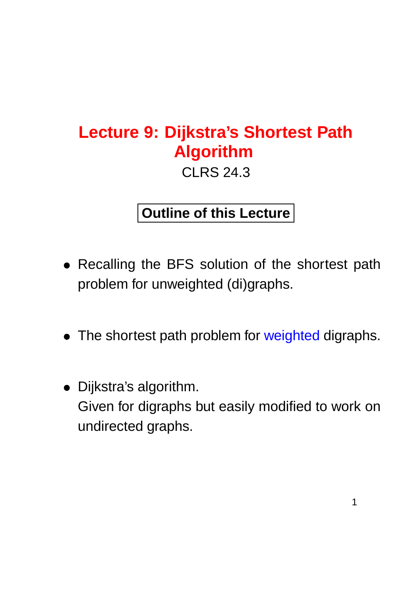# **Lecture 9: Dijkstra's Shortest Path Algorithm**

CLRS 24.3

#### **Outline of this Lecture**

- Recalling the BFS solution of the shortest path problem for unweighted (di)graphs.
- The shortest path problem for weighted digraphs.
- Dijkstra's algorithm. Given for digraphs but easily modified to work on undirected graphs.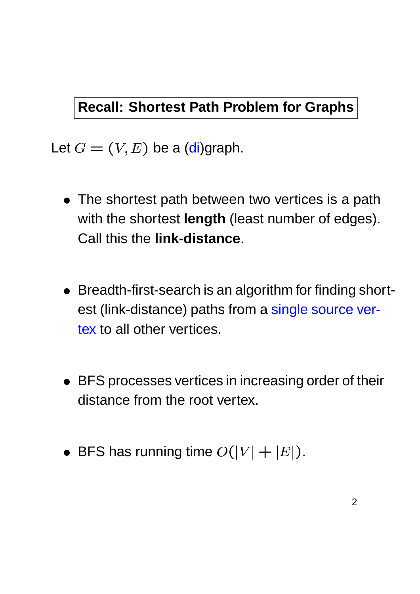#### **Recall: Shortest Path Problem for Graphs**

Let  $G = (V, E)$  be a (di)graph.

- The shortest path between two vertices is a path with the shortest **length** (least number of edges). Call this the **link-distance**.
- Breadth-first-search is an algorithm for finding shortest (link-distance) paths from a single source vertex to all other vertices.
- BFS processes vertices in increasing order of their distance from the root vertex.
- $\bullet\,$  BFS has running time  $O(|V|+|E|).$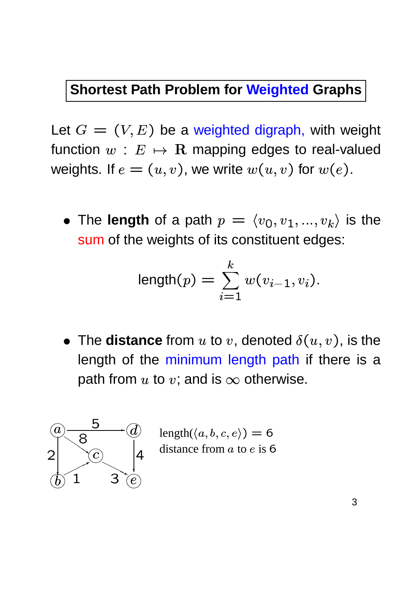#### **Shortest Path Problem for Weighted Graphs**

Let  $G = (V, E)$  be a weighted digraph, with weight function  $w\,:\,E\,\mapsto\, {\bf R}$  mapping edges to real-valued weights. If  $e = (u,v)$ , we write  $w(u,v)$  for  $w(e)$ . .

• The length of a path  $p = \langle v_0, v_1, ..., v_k \rangle$  is the sum of the weights of its constituent edges:

$$
\text{length}(p) = \sum_{i=1}^k w(v_{i-1}, v_i).
$$

 $\bullet\,$  The  $\,$  distance from  $u$  to  $v,$  denoted  $\delta(u,v),$  is the length of the minimum length path if there is a path from  $u$  to  $v$ ; and is  $\infty$  otherwise.



 $\mathbb{R}^m$  length $(\langle a, b, c, e \rangle) = 6$  $\sigma$   $\sim$   $\sigma$  distance from a to e is 6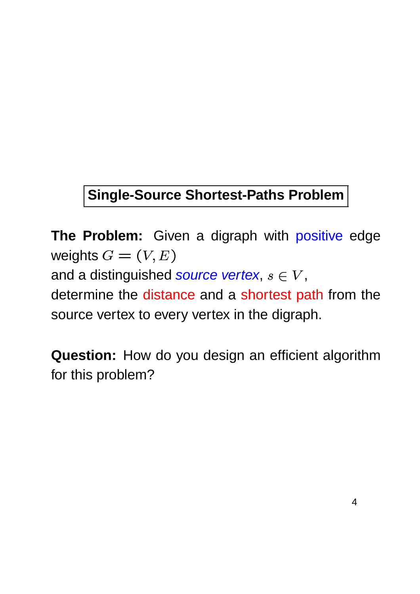### **Single-Source Shortest-Paths Problem**

**The Problem:** Given a digraph with positive edge weights  $G=(V,E)$ and a distinguished source vertex,  $s \in V,$ determine the distance and a shortest path from the source vertex to every vertex in the digraph.

**Question:** How do you design an efficient algorithm for this problem?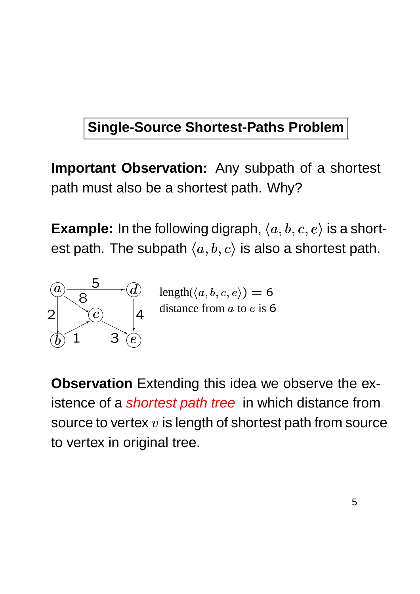### **Single-Source Shortest-Paths Problem**

**Important Observation:** Any subpath of a shortest path must also be a shortest path. Why?

**Example:** In the following digraph,  $\langle a, b, c, e \rangle$  is a shortest path. The subpath  $\langle a,b,c\rangle$  is also a shortest path.



 $\mathbb{R}^m$  length $(\langle a, b, c, e \rangle) = 6$ 

**Observation** Extending this idea we observe the existence of a *shortest path tree* in which distance from source to vertex  $v$  is length of shortest path from source to vertex in original tree.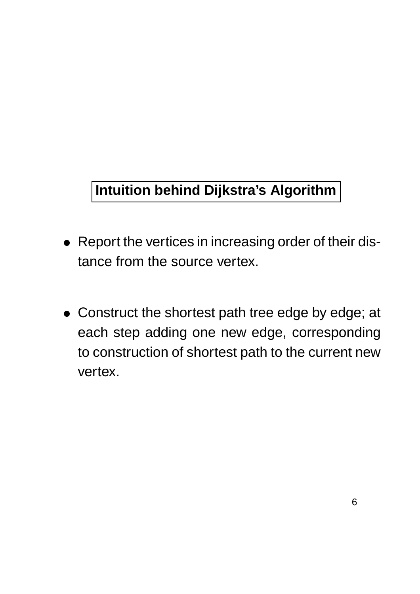### **Intuition behind Dijkstra's Algorithm**

- Report the vertices in increasing order of their distance from the source vertex.
- Construct the shortest path tree edge by edge; at each step adding one new edge, corresponding to construction of shortest path to the current new vertex.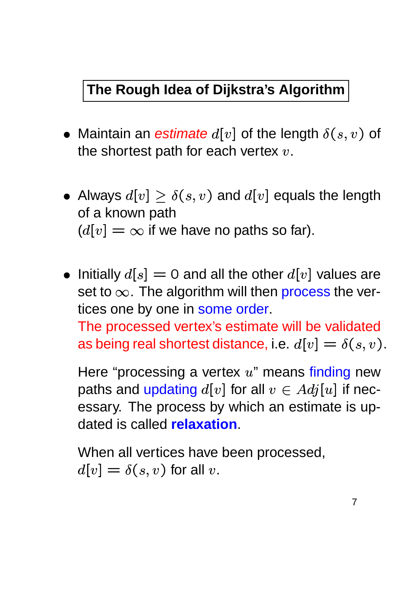#### **The Rough Idea of Dijkstra's Algorithm**

- Maintain an estimate  $d[v]$  of the length  $\delta(s,v)$  of \_ \_ \_ \_ \_ \_  $,v)$  of the shortest path for each vertex  $v_\cdot$
- $\bullet\,$  Always  $d[v]\geq \delta(s,v)$  and  $\delta$ . . . . . . . . - - - - - - - - $, v)$  and  $d[v]$  equals the length of a known path  $(d[v] = \infty$  if we have no paths so far).
- $\bullet \,$  Initially  $d[s]=0$  and all the other  $d[v]$  values are set to  $\infty$ . The algorithm will then process the vertices one by one in some order.

The processed vertex's estimate will be validated as being real shortest distance, i.e.  $d[v] = \delta(s,v).$  $\sim$   $\sim$   $\sim$   $\sim$   $\sim$   $\sim$ \_ \_ \_ \_ \_ <u>in the contract of the contract of the contract of the contract of the contract of the contract of the contract of the contract of the contract of the contract of the contract of the contract of the contract of the contra</u>

Here "processing a vertex  $u$ " means finding new paths and updating  $d[v]$  for all  $v\in Adj[u]$  if necessary. The process by which an estimate is updated is called **relaxation**.

When all vertices have been processed, \* - . . . . . . . . . . . . \_ \_ \_ \_ \_ \_ \_  $,v)$  for all  $v$  .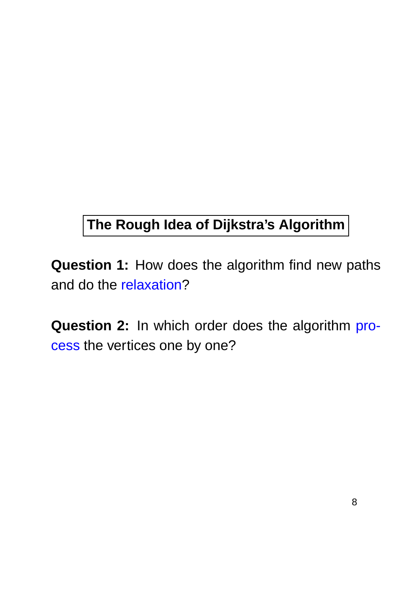### **The Rough Idea of Dijkstra's Algorithm**

**Question 1:** How does the algorithm find new paths and do the relaxation?

**Question 2:** In which order does the algorithm process the vertices one by one?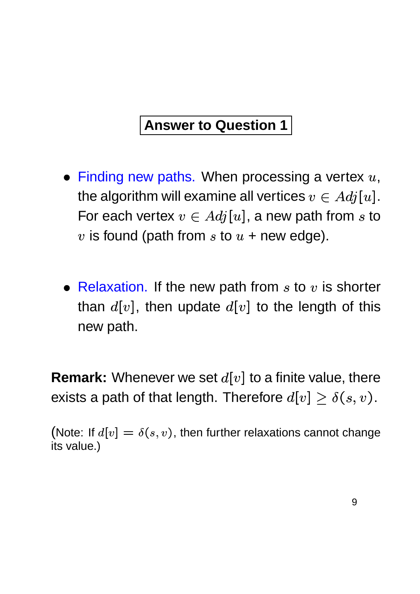#### **Answer to Question 1**

- $\bullet\,$  Finding new paths. When processing a vertex  $u,$ the algorithm will examine all vertices  $v\in Adj[u].$ For each vertex  $v \in Adj[u]$ , a new path from  $s$  to  $v$  is found (path from  $s$  to  $u$  + new edge).
- Relaxation. If the new path from  $s$  to  $v$  is shorter than  $d[v]$ , then update  $d[v]$  to the length of this new path.

**Remark:** Whenever we set  $d[v]$  to a finite value, there exists a path of that length. Therefore  $d[v] \geq \delta(s,v)$ . !  $,v).$ 

(Note: If  $d[v] = \delta(s, v)$ , then further relaxations cannot change its value.)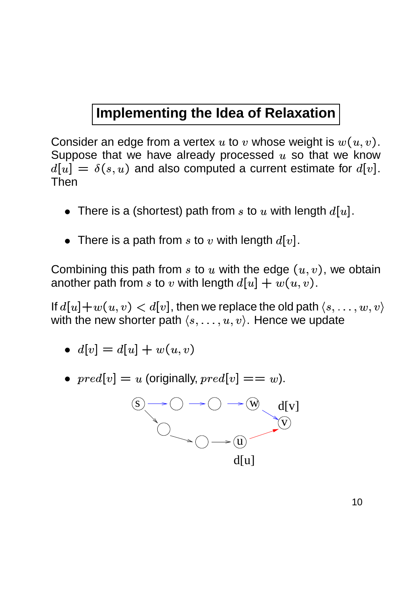#### **Implementing the Idea of Relaxation**

Consider an edge from a vertex  $u$  to  $v$  whose weight is  $w(u,v).$ Suppose that we have already processed  $u$  so that we know - $\sim$   $\sim$   $\sim$   $\sim$   $\sim$   $\sim$  $\blacksquare$  . The set of the set of the set of the set of the set of the set of the set of the set of the set of the set of the set of the set of the set of the set of the set of the set of the set of the set of the set of the  $,u)$  and also computed a current estimate for  $d[v].$ Then

- $\bullet~$  There is a (shortest) path from  $s$  to  $u$  with length  $d[u].$ .
- $\bullet$  There is a path from  $s$  to  $v$  with length  $d[v]$ .

Combining this path from  $s$  to  $u$  with the edge  $(u, v)$ , we obtain another path from  $s$  to  $v$  with length  $d[u] + w(u,v)$  $\blacksquare$  . The set of the set of the set of the set of the set of the set of the set of the set of the set of the set of the set of the set of the set of the set of the set of the set of the set of the set of the set of the  $w(u,v).$ 

If  $d[u] + w(u,v) < d[v]$ , then we replace the old path  $\langle s, \ldots, w, v \rangle$ with the new shorter path  $\langle s,\ldots,u,v\rangle.$  Hence we update

$$
\bullet \ \ d[v]=d[u]+w(u,v)
$$

•  $\text{pred}[v] = u$  (originally,  $\text{pred}[v] == w$ ).

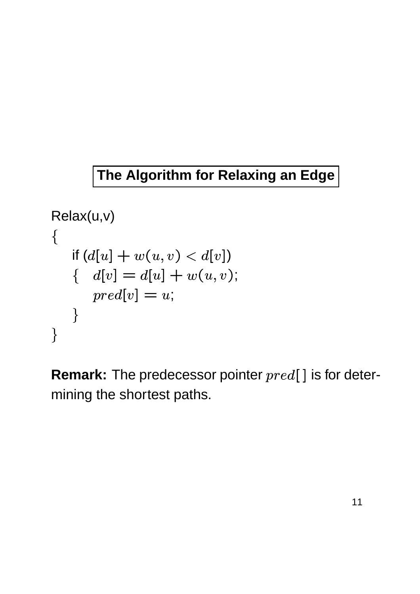#### **The Algorithm for Relaxing an Edge**

```
Relax(u,v) 
\left\{ \right.if (d[u] + w(u,v) < d[v])d[v] = d[u] + w(u, v);\text{pred}[v] = u;\Big\}\}
```
**Remark:** The predecessor pointer  $pred[]$  is for determining the shortest paths.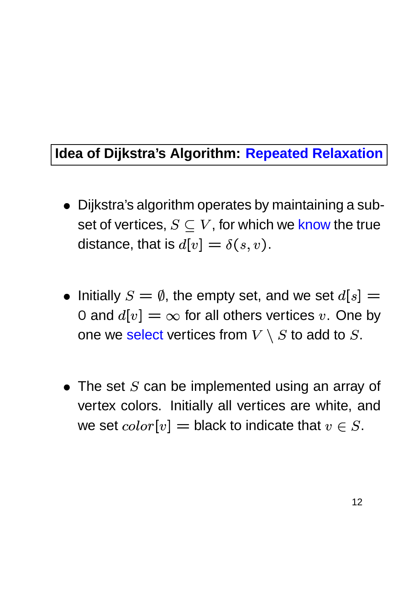#### **Idea of Dijkstra's Algorithm: Repeated Relaxation**

- Dijkstra's algorithm operates by maintaining a subset of vertices,  $S \subseteq V$ , for which we know the true distance, that is  $d[v] = \delta(s,v).$ ! \_ \_ \_ \_ \_  $, v$  ).
- $\bullet\,$  Initially  $S=\emptyset,$  the empty set, and we set  $d[s]=$ 0 and  $d[v] = \infty$  for all others vertices  $v$ . One by one we select vertices from  $V \setminus S$  to add to  $S$ .
- $\bullet\,$  The set  $S$  can be implemented using an array of vertex colors. Initially all vertices are white, and we set  $color[v] = \mathsf{bl}$ a  $[v] =$  black to indicate that  $v \in S.$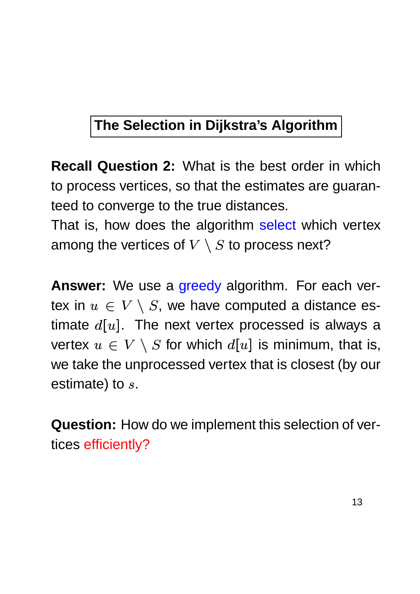### **The Selection in Dijkstra's Algorithm**

**Recall Question 2:** What is the best order in which to process vertices, so that the estimates are guaranteed to converge to the true distances.

That is, how does the algorithm select which vertex among the vertices of  $V \setminus S$  to process next?

**Answer:** We use a greedy algorithm. For each vertex in  $u \in V \setminus S$ , we have computed a distance estimate  $d[u]$ . The next vertex processed is always a vertex  $u \,\in\, V\,\setminus\, S$  for which  $d[u]$  is minimum, that is, we take the unprocessed vertex that is closest (by our estimate) to  $s$ .

**Question:** How do we implement this selection of vertices efficiently?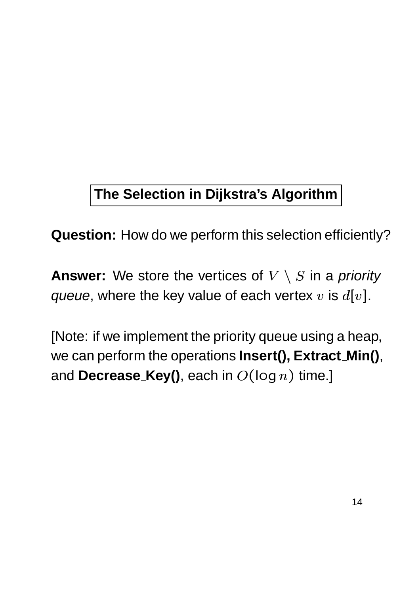## **The Selection in Dijkstra's Algorithm**

**Question:** How do we perform this selection efficiently?

**Answer:** We store the vertices of  $V \setminus S$  in a priority *queue*, where the key value of each vertex  $v$  is  $d[v]$ .

[Note: if we implement the priority queue using a heap, we can perform the operations **Insert(), Extract Min()**, and  $\mathsf{Decrease\_Key}()$ , each in  $O(\log n)$  time.]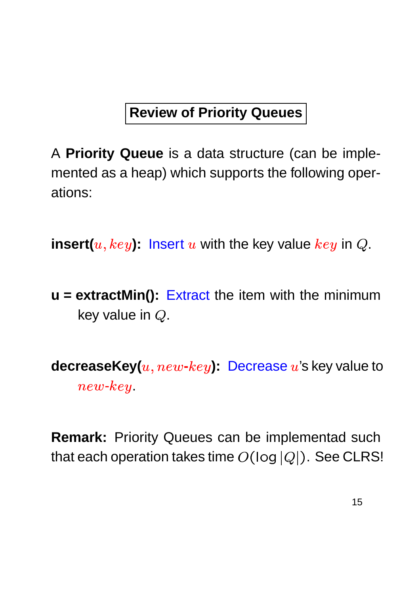### **Review of Priority Queues**

A **Priority Queue** is a data structure (can be implemented as a heap) which supports the following operations:

 $\textsf{insert}(u, key)$ : lnsert  $u$  with the key value  $key$  in  $Q$ .

**u = extractMin():** Extract the item with the minimum key value in  $Q$ .

**decreaseKey(** $u, new\text{-}key$ ): Decrease  $u$ 's key value to  $new\text{-}key$ 

**Remark:** Priority Queues can be implementad such that each operation takes time  $O(\log |Q|)$ . See --  $\mathbb{Q}$ |). See CLRS!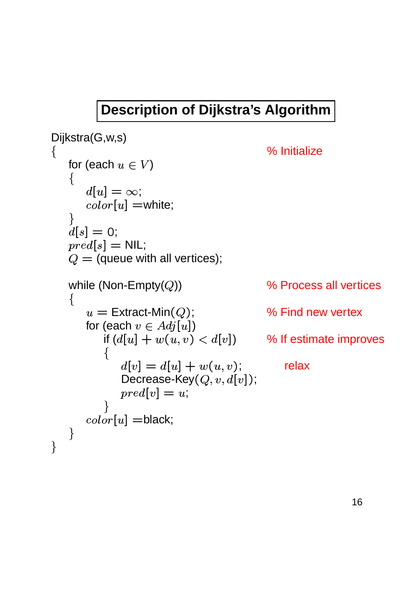#### **Description of Dijkstra's Algorithm**

```
Dijkstra(G,w,s)
\{% Initialize
   for (each u \in V)
     -

        ]=\infty;color[u] =white:
           ]=white;
  \left\{ \right.d[s] = 0;\mathit{pred}[s] = \mathsf{NIL};Q= (queue with all vertices);
  while (Non-Empty(Q))
                                  )) % Process all vertices
  \{u = \mathsf{Extract}\text{-}\mathsf{Min}(Q) ;
                                  % Find new vertex
     for (each v\in Adj[u])

)
        if (d[u] + w(u,v) w(u, v) < d|v| %
                              ) % If estimate improves
        \{-
  -

                    \blacksquare . The set of \blacksquarew(u, v);
                                    relax
           Decrease-Key(Q, v, d[v]);
           pred[v] = u;}
     color[u] =black;
           ] =black;
  \}\}
```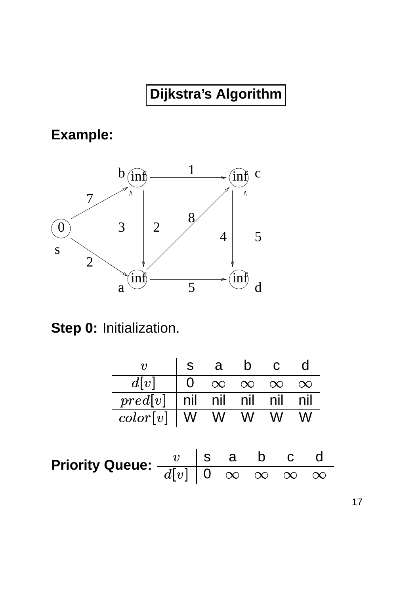**Example:**



**Step 0:** Initialization.

|                                                                                                                                                                      | $\boldsymbol{v}$                    |                                           | s a b c  |                        |  |  |
|----------------------------------------------------------------------------------------------------------------------------------------------------------------------|-------------------------------------|-------------------------------------------|----------|------------------------|--|--|
|                                                                                                                                                                      | d[v]                                | $\begin{array}{ c c } \hline \end{array}$ | $\infty$ | $\infty \infty \infty$ |  |  |
|                                                                                                                                                                      | $pred[v]$   nil nil nil nil nil nil |                                           |          |                        |  |  |
|                                                                                                                                                                      | $color[v]$   W W W W W              |                                           |          |                        |  |  |
|                                                                                                                                                                      |                                     |                                           |          |                        |  |  |
|                                                                                                                                                                      |                                     |                                           |          |                        |  |  |
| Priority Queue: $\begin{array}{c c c} v & \mathrm{s} & \mathrm{a} & \mathrm{b} & \mathrm{c} & \mathrm{d} \ \hline d[v] & 0 & \infty & \infty & \infty \ \end{array}$ |                                     |                                           |          |                        |  |  |
|                                                                                                                                                                      |                                     |                                           |          |                        |  |  |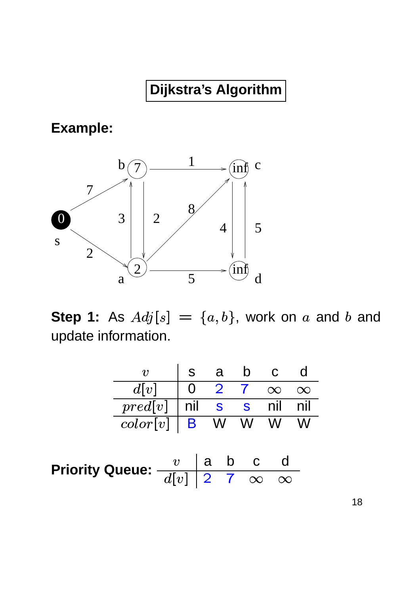**Example:**



**Step 1:** As  $Adj[s] = \{a, b\}$   $]=\{a,b\}$ , work on  $a$  and  $b$  and update information.

|                                          | $\boldsymbol{v}$   |  | s a b c                                          |       |          |     |          |
|------------------------------------------|--------------------|--|--------------------------------------------------|-------|----------|-----|----------|
|                                          | d[v]               |  | $\begin{array}{cccc} \mid 0 & 2 & 7 \end{array}$ |       | $\infty$ |     | $\infty$ |
|                                          | pred[v]            |  | nil s s nil                                      |       |          |     | nil n    |
|                                          | $color[v]$ B W W W |  |                                                  |       |          |     | W        |
|                                          |                    |  |                                                  |       |          |     |          |
| Priority Queue: $\frac{v}{\sqrt{1+1}}$ a |                    |  |                                                  | a b c |          | - d |          |
|                                          |                    |  | $\sqrt{2}$                                       |       |          |     |          |

18

 $\overline{\infty}$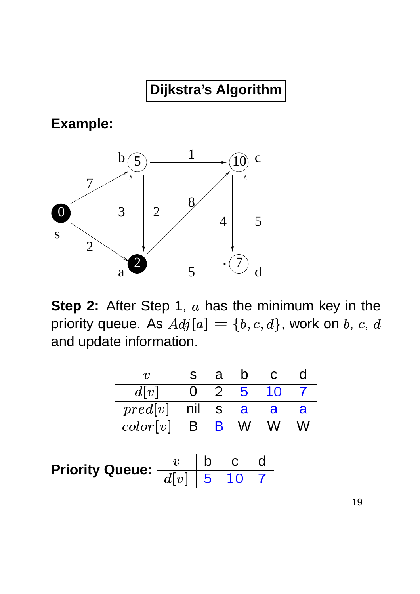**Example:**



**Step 2:** After Step 1,  $a$  has the minimum key in the priority queue. As  $Adj[a] = \{b,c,d\}$ , work on  $b, \, c, \, d$ and update information.

|                                                                                                                       | $v\,$                                 |  | s a b |  |                                                         |   |  |
|-----------------------------------------------------------------------------------------------------------------------|---------------------------------------|--|-------|--|---------------------------------------------------------|---|--|
|                                                                                                                       | d v                                   |  |       |  | $\begin{array}{cccc} \mid & 0 & 2 & 5 & 10 \end{array}$ |   |  |
|                                                                                                                       | $pred[v]$   nil $\overline{\mid}$ s a |  |       |  | -a                                                      | a |  |
|                                                                                                                       | $\overline{color[v]}$ B B W W         |  |       |  |                                                         |   |  |
|                                                                                                                       |                                       |  |       |  |                                                         |   |  |
| Priority Queue: $\begin{array}{c c} v & \mathsf{b} & \mathsf{c} \ \hline d[v] & \mathsf{5} & \mathsf{10} \end{array}$ |                                       |  | b c   |  |                                                         |   |  |
|                                                                                                                       |                                       |  |       |  |                                                         |   |  |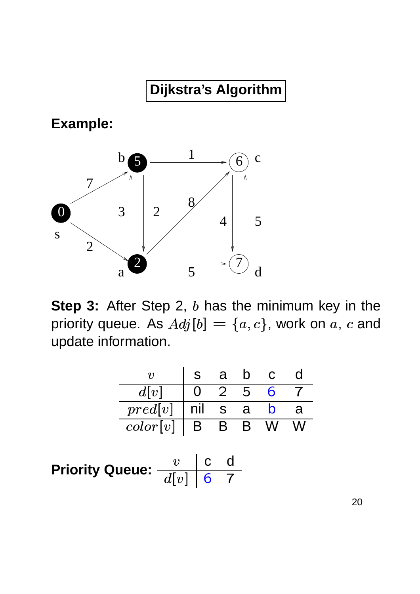**Example:**



**Step 3:** After Step 2, b has the minimum key in the priority queue. As  $Adj[b] = \{a,c\}$ , work on  $a,\,c$  and update information.

|                                   |  | s a b c |
|-----------------------------------|--|---------|
| 0 2 5 6 7<br>d v                  |  |         |
| $pred[v]$   nil s a b a           |  |         |
| $color[v]   B \overline{B} B W W$ |  |         |
|                                   |  |         |

**Priority Queue:**  $\frac{v}{\sqrt{1-1}}$  **c**  $\frac{d}{d}$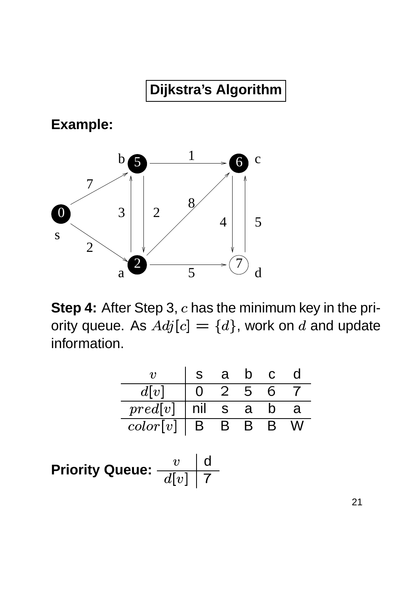**Example:**



**Step 4:** After Step 3, c has the minimum key in the priority queue. As  $Adj[c] = \{d\}$ , work on  $d$  and update information.

|                     |                | a   | <b>D</b> |   |          |
|---------------------|----------------|-----|----------|---|----------|
| d[v]                | $\overline{0}$ | 2 5 |          | 6 |          |
| $pred[v]$   nil s a |                |     |          |   | <u>a</u> |
| color[v]   B        |                | B B |          |   |          |

**Priority Queue:**  $\frac{v}{\sqrt{1+u}}$  d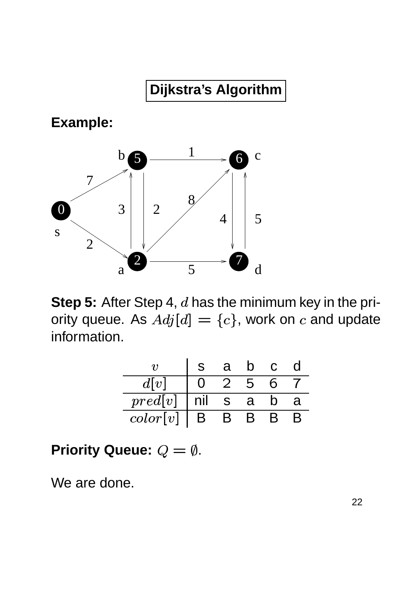**Example:**



**Step 5:** After Step 4,  $d$  has the minimum key in the priority queue. As  $Adj[d] = \{c\}$ , work on  $c$  and update information.

|                     |                                                  | a b c |   |   |
|---------------------|--------------------------------------------------|-------|---|---|
| d v                 | $\begin{array}{cccc} \mid 0 & 2 & 5 \end{array}$ |       | 6 |   |
| $pred[v]$   nil s a |                                                  |       |   | a |
| color[v]   B B B    |                                                  |       |   |   |

Priority Queue:  $Q = \emptyset$ .

We are done.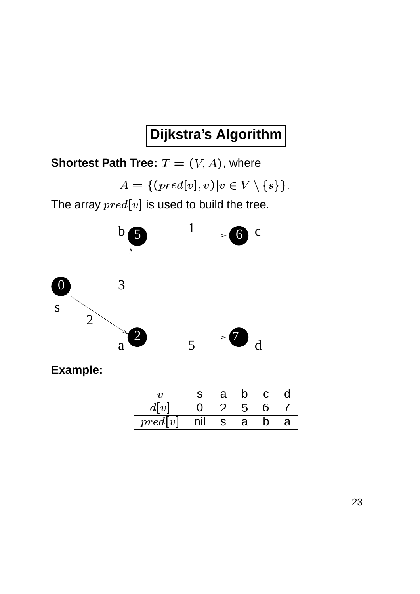**Shortest Path Tree:**  $T = (V, A)$ , where

$$
A = \{ (pred[v], v) | v \in V \setminus \{s\} \}.
$$

The array  $pred[v]$  is used to build the tree.



| $d\mathbf{I}$ |  |          |  |
|---------------|--|----------|--|
| pred[v]       |  | <u>a</u> |  |
|               |  |          |  |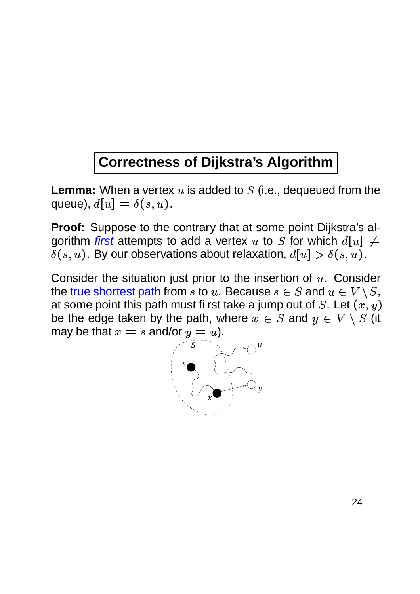#### **Correctness of Dijkstra's Algorithm**

**Lemma:** When a vertex  $u$  is added to  $S$  (i.e., dequeued from the queue),  $d[u] = \delta(s,u)$  $] = \delta(s, u).$ 

**Proof:** Suppose to the contrary that at some point Dijkstra's algorithm *first* attempts to add a vertex  $u$  to  $S$  for which  $d[u] \neq 0$  $\blacksquare$  . The contract of the contract of the contract of the contract of the contract of the contract of the contract of the contract of the contract of the contract of the contract of the contract of the contract of the  $\delta(s,u).$  By our observations about relaxation,  $d[u] > \delta(s,u)$  $] > \delta(s, u).$ 

Consider the situation just prior to the insertion of  $u$ . Consider the true shortest path from  $s$  to  $u.$  Because  $s\in S$  and  $u\in V\setminus S,$ at some point this path must first take a jump out of  $S$ . Let  $(x, y)$ be the edge taken by the path, where  $x \in S$  and  $y \in V \setminus S$  (it may be that  $x = s$  and/or  $y = u$ ).

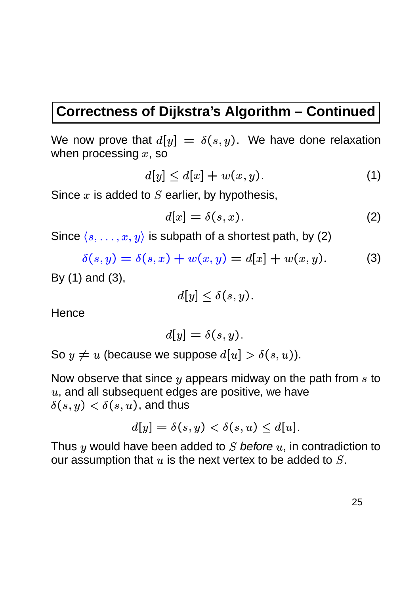#### **Correctness of Dijkstra's Algorithm – Continued**

We now prove that  $d[y] \,=\, \delta(s,y)$  $] = \delta(s, y)$ . We have done relaxation when processing  $x,$  so

$$
d[y] \le d[x] + w(x, y). \tag{1}
$$

Since  $x$  is added to  $S$  earlier, by hypothesis,

$$
d[x] = \delta(s, x). \tag{2}
$$

Since  $\langle s, \ldots, x, y \rangle$  is subpath of a shortest path, by (2)

 $\delta(s, y) = \delta(s, x) + w(x, y) = d|x|$  $(x, y) = d|x| + w(x, y).$   $(x, y).$  (3)

By (1) and (3),

$$
d[y]\leq \delta(s,y).
$$

**Hence** 

$$
d[y] = \delta(s, y).
$$

So  $y \neq u$  (because we suppose  $d[u] > \delta(s,u)$ )  $] > \delta(s, u)$ ).

Now observe that since  $y$  appears midway on the path from  $s$  to  $u$ , and all subsequent edges are positive, we have  $\delta(s,y)<\delta(s,u)$ , and thus

$$
d[y] = \delta(s,y) < \delta(s,u) \leq d[u].
$$

Thus  $y$  would have been added to  $S$  before  $u$ , in contradiction to our assumption that  $u$  is the next vertex to be added to  $S$ .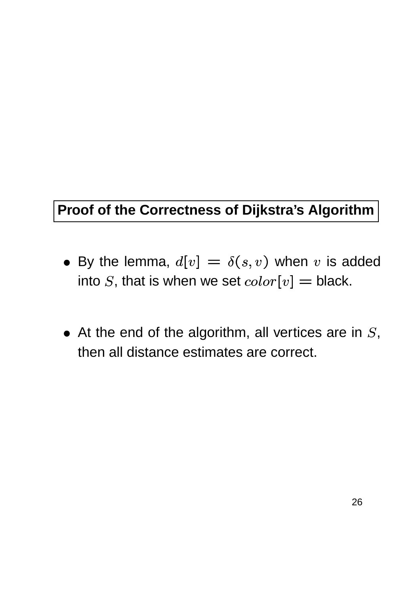#### **Proof of the Correctness of Dijkstra's Algorithm**

- By the lemma,  $d[v] = \delta(s,v)$  when  $v$ . . . . . . . . . - \_\_\_\_\_\_\_\_\_  $,v)$  when  $v$  is added into  $S$ , that is when we set  $color[v] = \mathsf{bl}$  $[v] = \mathsf{black}.$
- At the end of the algorithm, all vertices are in  $S$ , then all distance estimates are correct.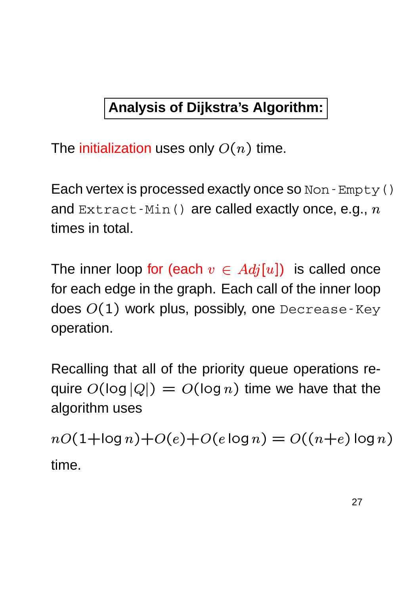### **Analysis of Dijkstra's Algorithm:**

The initialization uses only  $O(n)$  time.

Each vertex is processed exactly once so Non-Empty() and  $\text{Extract-Min}$  () are called exactly once, e.g.,  $n$ times in total.

The inner loop for (each  $v\,\in\, Adj[u])\;$  is called once for each edge in the graph. Each call of the inner loop does  $O(1)$  work plus,  $\left( 1\right)$  work plus, possibly, one <code>Decrease-Key</code> operation.

Recalling that all of the priority queue operations require  $O(\log |Q|) = C$ -- \_\_\_\_\_\_\_\_\_\_\_\_\_\_\_\_\_\_\_\_\_ (log  $n)$  time we have that the algorithm uses

 $nO(1+ \log n) + O$ - . - \_ \_ \_ \_ \_ \_ \_ \_ \_ \_ - - - -- - - - - - $\sim$   $\sim$   $\sim$   $\sim$   $\sim$   $\sim$   $\sim$   $\sim$ \_ \_ \_ \_ \_ \_ \_ \_ \_ - \_ \_ \_ \_ \_ \_ - \_ \_ \_ \_ \_ \_ \_ \_ \_ \_ \_ - - \_ \_ \_ \_ \_ \_ \_  $\sim$  -  $\sim$  -  $\sim$  -  $\sim$  -  $\sim$  -  $\sim$  -  $\sim$  -  $\sim$  -  $\sim$  -  $\sim$  -  $\sim$  -  $\sim$  -  $\sim$  -  $\sim$  -  $\sim$  -  $\sim$  -  $\sim$  -  $\sim$  -  $\sim$  -  $\sim$  -  $\sim$  -  $\sim$  -  $\sim$  -  $\sim$  -  $\sim$  -  $\sim$  -  $\sim$  -  $\sim$  -  $\sim$  -  $\sim$  -  $\sim$  -  $\sim$ time.